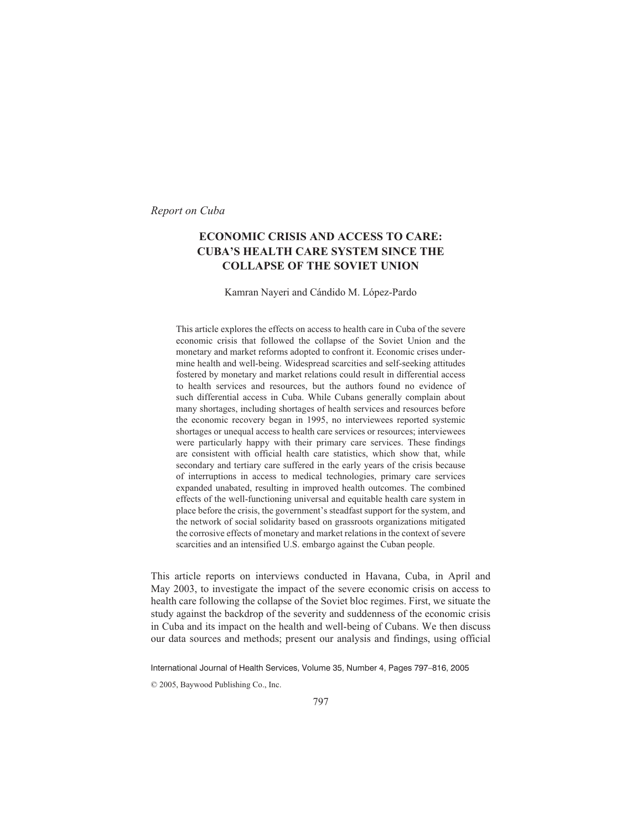*Report on Cuba*

# **ECONOMIC CRISIS AND ACCESS TO CARE: CUBA'S HEALTH CARE SYSTEM SINCE THE COLLAPSE OF THE SOVIET UNION**

Kamran Nayeri and Cándido M. López-Pardo

This article explores the effects on access to health care in Cuba of the severe economic crisis that followed the collapse of the Soviet Union and the monetary and market reforms adopted to confront it. Economic crises undermine health and well-being. Widespread scarcities and self-seeking attitudes fostered by monetary and market relations could result in differential access to health services and resources, but the authors found no evidence of such differential access in Cuba. While Cubans generally complain about many shortages, including shortages of health services and resources before the economic recovery began in 1995, no interviewees reported systemic shortages or unequal access to health care services or resources; interviewees were particularly happy with their primary care services. These findings are consistent with official health care statistics, which show that, while secondary and tertiary care suffered in the early years of the crisis because of interruptions in access to medical technologies, primary care services expanded unabated, resulting in improved health outcomes. The combined effects of the well-functioning universal and equitable health care system in place before the crisis, the government's steadfast support for the system, and the network of social solidarity based on grassroots organizations mitigated the corrosive effects of monetary and market relations in the context of severe scarcities and an intensified U.S. embargo against the Cuban people.

This article reports on interviews conducted in Havana, Cuba, in April and May 2003, to investigate the impact of the severe economic crisis on access to health care following the collapse of the Soviet bloc regimes. First, we situate the study against the backdrop of the severity and suddenness of the economic crisis in Cuba and its impact on the health and well-being of Cubans. We then discuss our data sources and methods; present our analysis and findings, using official

International Journal of Health Services, Volume 35, Number 4, Pages 797–816, 2005

© 2005, Baywood Publishing Co., Inc.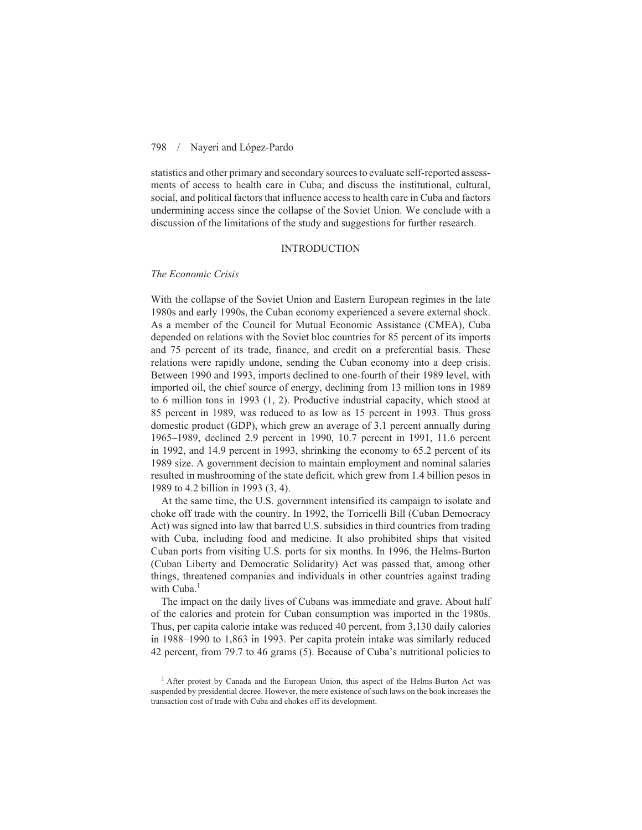statistics and other primary and secondary sources to evaluate self-reported assessments of access to health care in Cuba; and discuss the institutional, cultural, social, and political factors that influence access to health care in Cuba and factors undermining access since the collapse of the Soviet Union. We conclude with a discussion of the limitations of the study and suggestions for further research.

### INTRODUCTION

## *The Economic Crisis*

With the collapse of the Soviet Union and Eastern European regimes in the late 1980s and early 1990s, the Cuban economy experienced a severe external shock. As a member of the Council for Mutual Economic Assistance (CMEA), Cuba depended on relations with the Soviet bloc countries for 85 percent of its imports and 75 percent of its trade, finance, and credit on a preferential basis. These relations were rapidly undone, sending the Cuban economy into a deep crisis. Between 1990 and 1993, imports declined to one-fourth of their 1989 level, with imported oil, the chief source of energy, declining from 13 million tons in 1989 to 6 million tons in 1993 (1, 2). Productive industrial capacity, which stood at 85 percent in 1989, was reduced to as low as 15 percent in 1993. Thus gross domestic product (GDP), which grew an average of 3.1 percent annually during 1965–1989, declined 2.9 percent in 1990, 10.7 percent in 1991, 11.6 percent in 1992, and 14.9 percent in 1993, shrinking the economy to 65.2 percent of its 1989 size. A government decision to maintain employment and nominal salaries resulted in mushrooming of the state deficit, which grew from 1.4 billion pesos in 1989 to 4.2 billion in 1993 (3, 4).

At the same time, the U.S. government intensified its campaign to isolate and choke off trade with the country. In 1992, the Torricelli Bill (Cuban Democracy Act) was signed into law that barred U.S. subsidies in third countries from trading with Cuba, including food and medicine. It also prohibited ships that visited Cuban ports from visiting U.S. ports for six months. In 1996, the Helms-Burton (Cuban Liberty and Democratic Solidarity) Act was passed that, among other things, threatened companies and individuals in other countries against trading with Cuba.<sup>1</sup>

The impact on the daily lives of Cubans was immediate and grave. About half of the calories and protein for Cuban consumption was imported in the 1980s. Thus, per capita calorie intake was reduced 40 percent, from 3,130 daily calories in 1988–1990 to 1,863 in 1993. Per capita protein intake was similarly reduced 42 percent, from 79.7 to 46 grams (5). Because of Cuba's nutritional policies to

<sup>&</sup>lt;sup>1</sup> After protest by Canada and the European Union, this aspect of the Helms-Burton Act was suspended by presidential decree. However, the mere existence of such laws on the book increases the transaction cost of trade with Cuba and chokes off its development.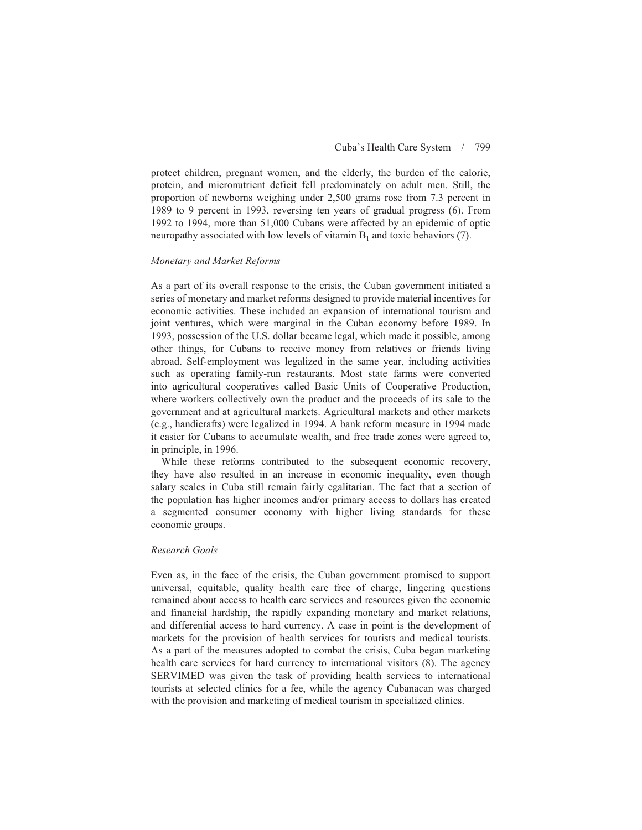protect children, pregnant women, and the elderly, the burden of the calorie, protein, and micronutrient deficit fell predominately on adult men. Still, the proportion of newborns weighing under 2,500 grams rose from 7.3 percent in 1989 to 9 percent in 1993, reversing ten years of gradual progress (6). From 1992 to 1994, more than 51,000 Cubans were affected by an epidemic of optic neuropathy associated with low levels of vitamin  $B_1$  and toxic behaviors (7).

## *Monetary and Market Reforms*

As a part of its overall response to the crisis, the Cuban government initiated a series of monetary and market reforms designed to provide material incentives for economic activities. These included an expansion of international tourism and joint ventures, which were marginal in the Cuban economy before 1989. In 1993, possession of the U.S. dollar became legal, which made it possible, among other things, for Cubans to receive money from relatives or friends living abroad. Self-employment was legalized in the same year, including activities such as operating family-run restaurants. Most state farms were converted into agricultural cooperatives called Basic Units of Cooperative Production, where workers collectively own the product and the proceeds of its sale to the government and at agricultural markets. Agricultural markets and other markets (e.g., handicrafts) were legalized in 1994. A bank reform measure in 1994 made it easier for Cubans to accumulate wealth, and free trade zones were agreed to, in principle, in 1996.

While these reforms contributed to the subsequent economic recovery, they have also resulted in an increase in economic inequality, even though salary scales in Cuba still remain fairly egalitarian. The fact that a section of the population has higher incomes and/or primary access to dollars has created a segmented consumer economy with higher living standards for these economic groups.

#### *Research Goals*

Even as, in the face of the crisis, the Cuban government promised to support universal, equitable, quality health care free of charge, lingering questions remained about access to health care services and resources given the economic and financial hardship, the rapidly expanding monetary and market relations, and differential access to hard currency. A case in point is the development of markets for the provision of health services for tourists and medical tourists. As a part of the measures adopted to combat the crisis, Cuba began marketing health care services for hard currency to international visitors (8). The agency SERVIMED was given the task of providing health services to international tourists at selected clinics for a fee, while the agency Cubanacan was charged with the provision and marketing of medical tourism in specialized clinics.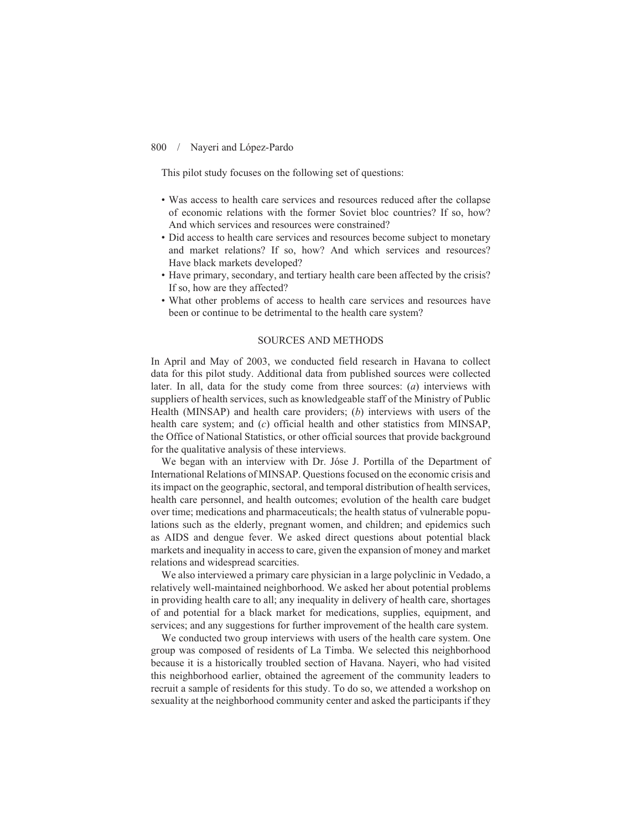This pilot study focuses on the following set of questions:

- Was access to health care services and resources reduced after the collapse of economic relations with the former Soviet bloc countries? If so, how? And which services and resources were constrained?
- Did access to health care services and resources become subject to monetary and market relations? If so, how? And which services and resources? Have black markets developed?
- Have primary, secondary, and tertiary health care been affected by the crisis? If so, how are they affected?
- What other problems of access to health care services and resources have been or continue to be detrimental to the health care system?

## SOURCES AND METHODS

In April and May of 2003, we conducted field research in Havana to collect data for this pilot study. Additional data from published sources were collected later. In all, data for the study come from three sources: (*a*) interviews with suppliers of health services, such as knowledgeable staff of the Ministry of Public Health (MINSAP) and health care providers; (*b*) interviews with users of the health care system; and (*c*) official health and other statistics from MINSAP, the Office of National Statistics, or other official sources that provide background for the qualitative analysis of these interviews.

We began with an interview with Dr. Jóse J. Portilla of the Department of International Relations of MINSAP. Questions focused on the economic crisis and its impact on the geographic, sectoral, and temporal distribution of health services, health care personnel, and health outcomes; evolution of the health care budget over time; medications and pharmaceuticals; the health status of vulnerable populations such as the elderly, pregnant women, and children; and epidemics such as AIDS and dengue fever. We asked direct questions about potential black markets and inequality in access to care, given the expansion of money and market relations and widespread scarcities.

We also interviewed a primary care physician in a large polyclinic in Vedado, a relatively well-maintained neighborhood. We asked her about potential problems in providing health care to all; any inequality in delivery of health care, shortages of and potential for a black market for medications, supplies, equipment, and services; and any suggestions for further improvement of the health care system.

We conducted two group interviews with users of the health care system. One group was composed of residents of La Timba. We selected this neighborhood because it is a historically troubled section of Havana. Nayeri, who had visited this neighborhood earlier, obtained the agreement of the community leaders to recruit a sample of residents for this study. To do so, we attended a workshop on sexuality at the neighborhood community center and asked the participants if they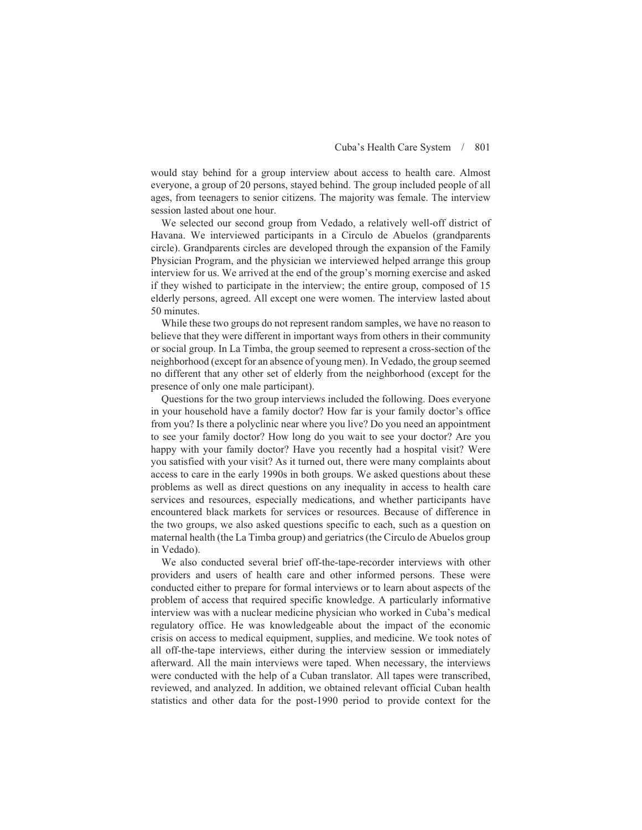would stay behind for a group interview about access to health care. Almost everyone, a group of 20 persons, stayed behind. The group included people of all ages, from teenagers to senior citizens. The majority was female. The interview session lasted about one hour.

We selected our second group from Vedado, a relatively well-off district of Havana. We interviewed participants in a Circulo de Abuelos (grandparents circle). Grandparents circles are developed through the expansion of the Family Physician Program, and the physician we interviewed helped arrange this group interview for us. We arrived at the end of the group's morning exercise and asked if they wished to participate in the interview; the entire group, composed of 15 elderly persons, agreed. All except one were women. The interview lasted about 50 minutes.

While these two groups do not represent random samples, we have no reason to believe that they were different in important ways from others in their community or social group. In La Timba, the group seemed to represent a cross-section of the neighborhood (except for an absence of young men). In Vedado, the group seemed no different that any other set of elderly from the neighborhood (except for the presence of only one male participant).

Questions for the two group interviews included the following. Does everyone in your household have a family doctor? How far is your family doctor's office from you? Is there a polyclinic near where you live? Do you need an appointment to see your family doctor? How long do you wait to see your doctor? Are you happy with your family doctor? Have you recently had a hospital visit? Were you satisfied with your visit? As it turned out, there were many complaints about access to care in the early 1990s in both groups. We asked questions about these problems as well as direct questions on any inequality in access to health care services and resources, especially medications, and whether participants have encountered black markets for services or resources. Because of difference in the two groups, we also asked questions specific to each, such as a question on maternal health (the La Timba group) and geriatrics (the Circulo de Abuelos group in Vedado).

We also conducted several brief off-the-tape-recorder interviews with other providers and users of health care and other informed persons. These were conducted either to prepare for formal interviews or to learn about aspects of the problem of access that required specific knowledge. A particularly informative interview was with a nuclear medicine physician who worked in Cuba's medical regulatory office. He was knowledgeable about the impact of the economic crisis on access to medical equipment, supplies, and medicine. We took notes of all off-the-tape interviews, either during the interview session or immediately afterward. All the main interviews were taped. When necessary, the interviews were conducted with the help of a Cuban translator. All tapes were transcribed, reviewed, and analyzed. In addition, we obtained relevant official Cuban health statistics and other data for the post-1990 period to provide context for the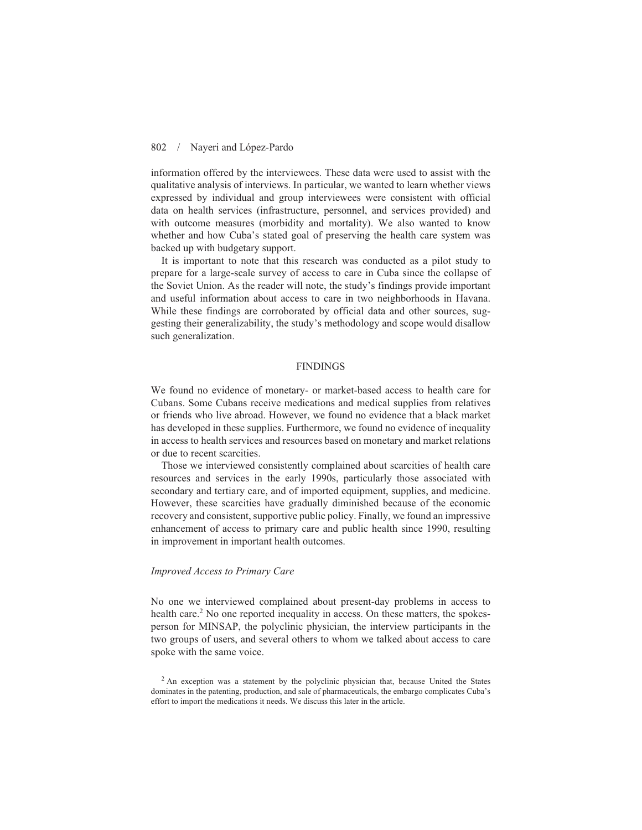information offered by the interviewees. These data were used to assist with the qualitative analysis of interviews. In particular, we wanted to learn whether views expressed by individual and group interviewees were consistent with official data on health services (infrastructure, personnel, and services provided) and with outcome measures (morbidity and mortality). We also wanted to know whether and how Cuba's stated goal of preserving the health care system was backed up with budgetary support.

It is important to note that this research was conducted as a pilot study to prepare for a large-scale survey of access to care in Cuba since the collapse of the Soviet Union. As the reader will note, the study's findings provide important and useful information about access to care in two neighborhoods in Havana. While these findings are corroborated by official data and other sources, suggesting their generalizability, the study's methodology and scope would disallow such generalization.

## FINDINGS

We found no evidence of monetary- or market-based access to health care for Cubans. Some Cubans receive medications and medical supplies from relatives or friends who live abroad. However, we found no evidence that a black market has developed in these supplies. Furthermore, we found no evidence of inequality in access to health services and resources based on monetary and market relations or due to recent scarcities.

Those we interviewed consistently complained about scarcities of health care resources and services in the early 1990s, particularly those associated with secondary and tertiary care, and of imported equipment, supplies, and medicine. However, these scarcities have gradually diminished because of the economic recovery and consistent, supportive public policy. Finally, we found an impressive enhancement of access to primary care and public health since 1990, resulting in improvement in important health outcomes.

## *Improved Access to Primary Care*

No one we interviewed complained about present-day problems in access to health care.<sup>2</sup> No one reported inequality in access. On these matters, the spokesperson for MINSAP, the polyclinic physician, the interview participants in the two groups of users, and several others to whom we talked about access to care spoke with the same voice.

<sup>&</sup>lt;sup>2</sup> An exception was a statement by the polyclinic physician that, because United the States dominates in the patenting, production, and sale of pharmaceuticals, the embargo complicates Cuba's effort to import the medications it needs. We discuss this later in the article.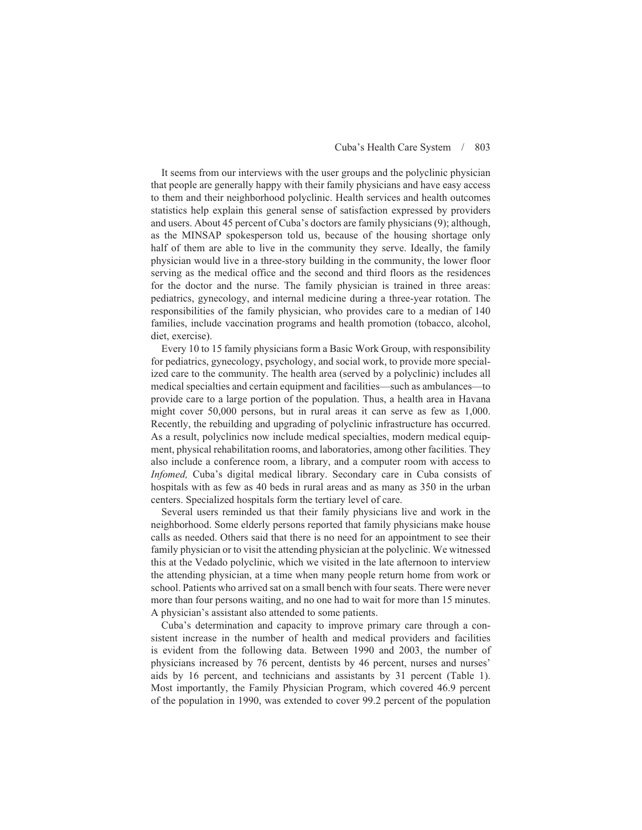It seems from our interviews with the user groups and the polyclinic physician that people are generally happy with their family physicians and have easy access to them and their neighborhood polyclinic. Health services and health outcomes statistics help explain this general sense of satisfaction expressed by providers and users. About 45 percent of Cuba's doctors are family physicians (9); although, as the MINSAP spokesperson told us, because of the housing shortage only half of them are able to live in the community they serve. Ideally, the family physician would live in a three-story building in the community, the lower floor serving as the medical office and the second and third floors as the residences for the doctor and the nurse. The family physician is trained in three areas: pediatrics, gynecology, and internal medicine during a three-year rotation. The responsibilities of the family physician, who provides care to a median of 140 families, include vaccination programs and health promotion (tobacco, alcohol, diet, exercise).

Every 10 to 15 family physicians form a Basic Work Group, with responsibility for pediatrics, gynecology, psychology, and social work, to provide more specialized care to the community. The health area (served by a polyclinic) includes all medical specialties and certain equipment and facilities—such as ambulances—to provide care to a large portion of the population. Thus, a health area in Havana might cover 50,000 persons, but in rural areas it can serve as few as 1,000. Recently, the rebuilding and upgrading of polyclinic infrastructure has occurred. As a result, polyclinics now include medical specialties, modern medical equipment, physical rehabilitation rooms, and laboratories, among other facilities. They also include a conference room, a library, and a computer room with access to *Infomed,* Cuba's digital medical library. Secondary care in Cuba consists of hospitals with as few as 40 beds in rural areas and as many as 350 in the urban centers. Specialized hospitals form the tertiary level of care.

Several users reminded us that their family physicians live and work in the neighborhood. Some elderly persons reported that family physicians make house calls as needed. Others said that there is no need for an appointment to see their family physician or to visit the attending physician at the polyclinic. We witnessed this at the Vedado polyclinic, which we visited in the late afternoon to interview the attending physician, at a time when many people return home from work or school. Patients who arrived sat on a small bench with four seats. There were never more than four persons waiting, and no one had to wait for more than 15 minutes. A physician's assistant also attended to some patients.

Cuba's determination and capacity to improve primary care through a consistent increase in the number of health and medical providers and facilities is evident from the following data. Between 1990 and 2003, the number of physicians increased by 76 percent, dentists by 46 percent, nurses and nurses' aids by 16 percent, and technicians and assistants by 31 percent (Table 1). Most importantly, the Family Physician Program, which covered 46.9 percent of the population in 1990, was extended to cover 99.2 percent of the population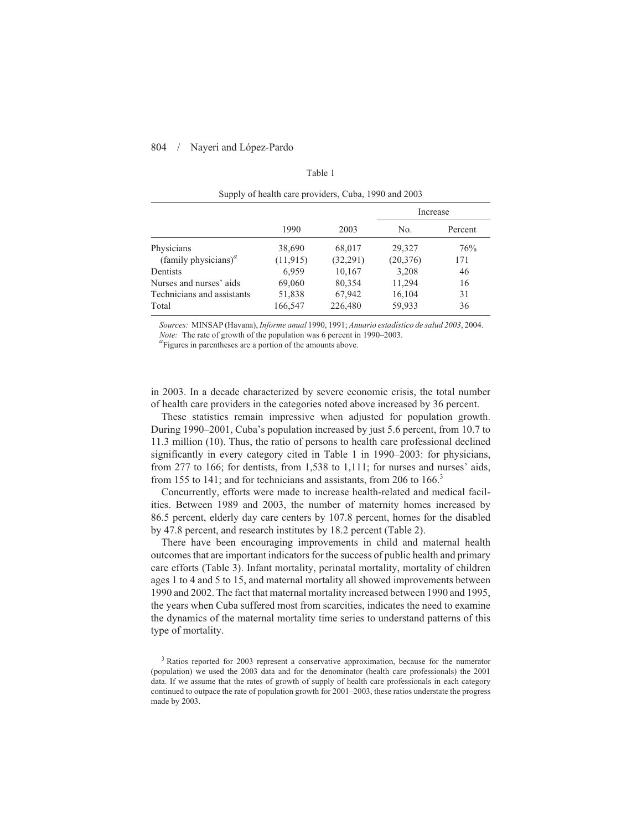| u.<br>×<br>۰. | ۹ | I |  |
|---------------|---|---|--|
|               |   |   |  |

Supply of health care providers, Cuba, 1990 and 2003

|                              |           |           | Increase  |         |
|------------------------------|-----------|-----------|-----------|---------|
|                              | 1990      | 2003      | No.       | Percent |
| Physicians                   | 38,690    | 68,017    | 29,327    | 76%     |
| $(\text{family physical})^d$ | (11, 915) | (32, 291) | (20, 376) | 171     |
| Dentists                     | 6.959     | 10,167    | 3,208     | 46      |
| Nurses and nurses' aids      | 69,060    | 80,354    | 11,294    | 16      |
| Technicians and assistants   | 51,838    | 67,942    | 16,104    | 31      |
| Total                        | 166,547   | 226,480   | 59,933    | 36      |

*Sources:* MINSAP (Havana), *Informe anual* 1990, 1991; *Anuario estadístico de salud 2003*, 2004. *Note:* The rate of growth of the population was 6 percent in 1990–2003.

<sup>a</sup>Figures in parentheses are a portion of the amounts above.

in 2003. In a decade characterized by severe economic crisis, the total number of health care providers in the categories noted above increased by 36 percent.

These statistics remain impressive when adjusted for population growth. During 1990–2001, Cuba's population increased by just 5.6 percent, from 10.7 to 11.3 million (10). Thus, the ratio of persons to health care professional declined significantly in every category cited in Table 1 in 1990–2003: for physicians, from 277 to 166; for dentists, from 1,538 to 1,111; for nurses and nurses' aids, from 155 to 141; and for technicians and assistants, from 206 to 166.<sup>3</sup>

Concurrently, efforts were made to increase health-related and medical facilities. Between 1989 and 2003, the number of maternity homes increased by 86.5 percent, elderly day care centers by 107.8 percent, homes for the disabled by 47.8 percent, and research institutes by 18.2 percent (Table 2).

There have been encouraging improvements in child and maternal health outcomes that are important indicators for the success of public health and primary care efforts (Table 3). Infant mortality, perinatal mortality, mortality of children ages 1 to 4 and 5 to 15, and maternal mortality all showed improvements between 1990 and 2002. The fact that maternal mortality increased between 1990 and 1995, the years when Cuba suffered most from scarcities, indicates the need to examine the dynamics of the maternal mortality time series to understand patterns of this type of mortality.

<sup>3</sup> Ratios reported for 2003 represent a conservative approximation, because for the numerator (population) we used the 2003 data and for the denominator (health care professionals) the 2001 data. If we assume that the rates of growth of supply of health care professionals in each category continued to outpace the rate of population growth for 2001–2003, these ratios understate the progress made by 2003.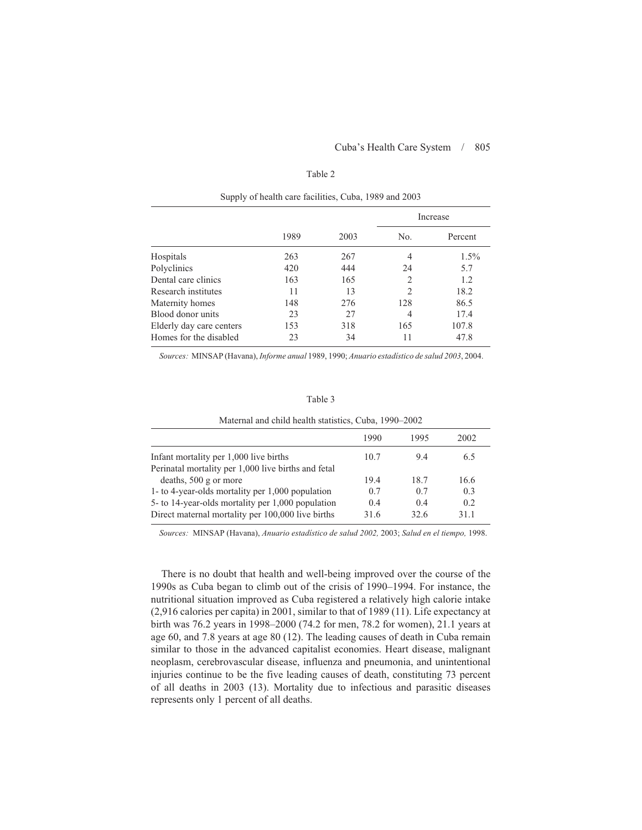### Table 2

|                          |      |      | Increase                      |         |
|--------------------------|------|------|-------------------------------|---------|
|                          | 1989 | 2003 | No.                           | Percent |
| Hospitals                | 263  | 267  | 4                             | $1.5\%$ |
| Polyclinics              | 420  | 444  | 24                            | 5.7     |
| Dental care clinics      | 163  | 165  | 2                             | 1.2     |
| Research institutes      | 11   | 13   | $\mathfrak{D}_{\mathfrak{p}}$ | 18.2    |
| Maternity homes          | 148  | 276  | 128                           | 86.5    |
| Blood donor units        | 23   | 27   | 4                             | 17.4    |
| Elderly day care centers | 153  | 318  | 165                           | 107.8   |
| Homes for the disabled   | 23   | 34   | 11                            | 47.8    |
|                          |      |      |                               |         |

Supply of health care facilities, Cuba, 1989 and 2003

*Sources:* MINSAP (Havana), *Informe anual* 1989, 1990; *Anuario estadístico de salud 2003*, 2004.

#### Table 3

|                                                     | 1990 | 1995 | 2002 |
|-----------------------------------------------------|------|------|------|
| Infant mortality per 1,000 live births              | 10.7 | 9.4  | 6.5  |
| Perinatal mortality per 1,000 live births and fetal |      |      |      |
| deaths, $500 \text{ g}$ or more                     | 19.4 | 18.7 | 16.6 |
| 1- to 4-year-olds mortality per 1,000 population    | 0.7  | 0.7  | 0.3  |
| 5- to 14-year-olds mortality per 1,000 population   | 0.4  | 0.4  | 0.2  |
| Direct maternal mortality per 100,000 live births   | 31.6 | 32.6 | 31.1 |

Maternal and child health statistics, Cuba, 1990–2002

*Sources:* MINSAP (Havana), *Anuario estadístico de salud 2002,* 2003; *Salud en el tiempo,* 1998.

There is no doubt that health and well-being improved over the course of the 1990s as Cuba began to climb out of the crisis of 1990–1994. For instance, the nutritional situation improved as Cuba registered a relatively high calorie intake (2,916 calories per capita) in 2001, similar to that of 1989 (11). Life expectancy at birth was 76.2 years in 1998–2000 (74.2 for men, 78.2 for women), 21.1 years at age 60, and 7.8 years at age 80 (12). The leading causes of death in Cuba remain similar to those in the advanced capitalist economies. Heart disease, malignant neoplasm, cerebrovascular disease, influenza and pneumonia, and unintentional injuries continue to be the five leading causes of death, constituting 73 percent of all deaths in 2003 (13). Mortality due to infectious and parasitic diseases represents only 1 percent of all deaths.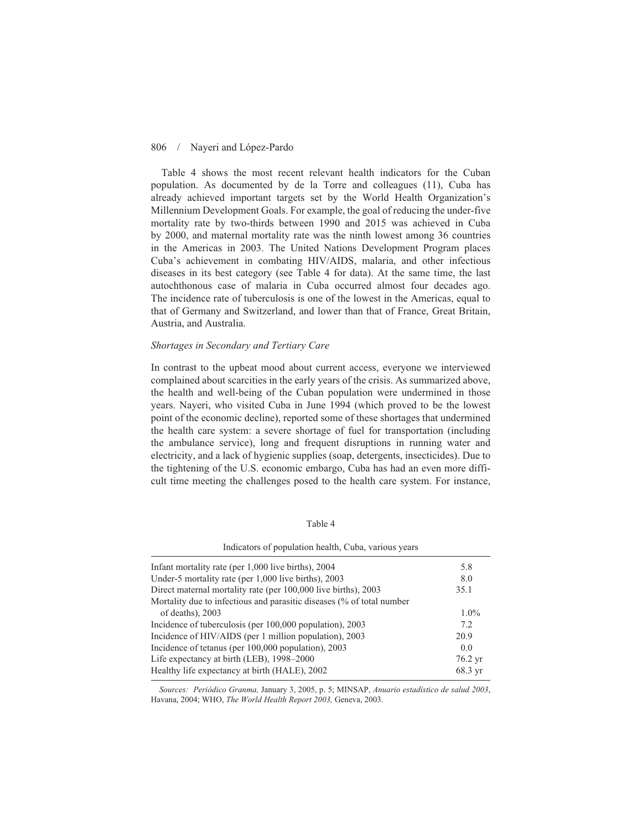Table 4 shows the most recent relevant health indicators for the Cuban population. As documented by de la Torre and colleagues (11), Cuba has already achieved important targets set by the World Health Organization's Millennium Development Goals. For example, the goal of reducing the under-five mortality rate by two-thirds between 1990 and 2015 was achieved in Cuba by 2000, and maternal mortality rate was the ninth lowest among 36 countries in the Americas in 2003. The United Nations Development Program places Cuba's achievement in combating HIV/AIDS, malaria, and other infectious diseases in its best category (see Table 4 for data). At the same time, the last autochthonous case of malaria in Cuba occurred almost four decades ago. The incidence rate of tuberculosis is one of the lowest in the Americas, equal to that of Germany and Switzerland, and lower than that of France, Great Britain, Austria, and Australia.

## *Shortages in Secondary and Tertiary Care*

In contrast to the upbeat mood about current access, everyone we interviewed complained about scarcities in the early years of the crisis. As summarized above, the health and well-being of the Cuban population were undermined in those years. Nayeri, who visited Cuba in June 1994 (which proved to be the lowest point of the economic decline), reported some of these shortages that undermined the health care system: a severe shortage of fuel for transportation (including the ambulance service), long and frequent disruptions in running water and electricity, and a lack of hygienic supplies (soap, detergents, insecticides). Due to the tightening of the U.S. economic embargo, Cuba has had an even more difficult time meeting the challenges posed to the health care system. For instance,

|--|--|

#### Indicators of population health, Cuba, various years

| Infant mortality rate (per 1,000 live births), 2004                   | 5.8       |
|-----------------------------------------------------------------------|-----------|
| Under-5 mortality rate (per 1,000 live births), 2003                  | 8.0       |
| Direct maternal mortality rate (per 100,000 live births), 2003        | 35.1      |
| Mortality due to infectious and parasitic diseases (% of total number |           |
| of deaths), 2003                                                      | $1.0\%$   |
| Incidence of tuberculosis (per 100,000 population), 2003              | 7.2       |
| Incidence of HIV/AIDS (per 1 million population), 2003                | 20.9      |
| Incidence of tetanus (per 100,000 population), 2003                   | 0.0       |
| Life expectancy at birth (LEB), 1998-2000                             | $76.2$ yr |
| Healthy life expectancy at birth (HALE), 2002                         | 68.3 yr   |
|                                                                       |           |

*Sources: Periódico Granma,* January 3, 2005, p. 5; MINSAP, *Anuario estadístico de salud 2003*, Havana, 2004; WHO, *The World Health Report 2003,* Geneva, 2003.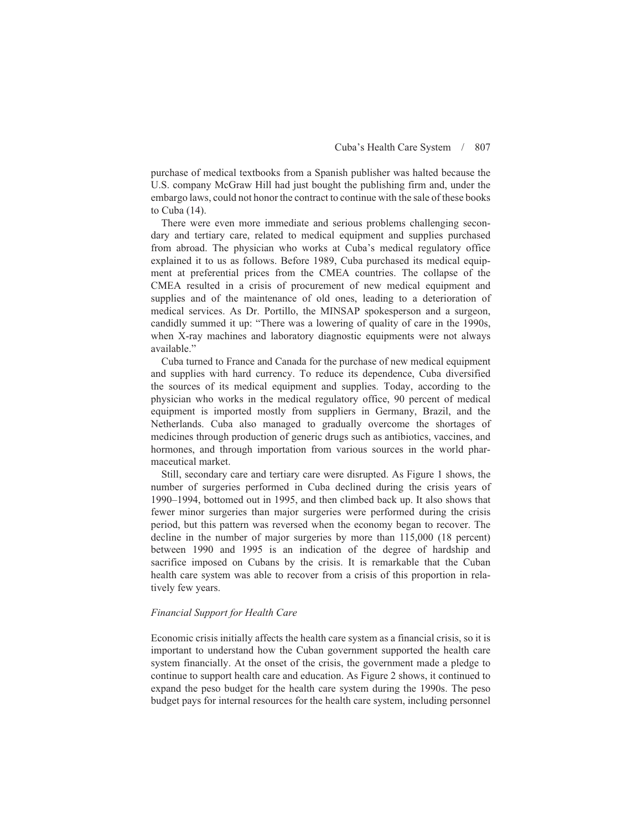purchase of medical textbooks from a Spanish publisher was halted because the U.S. company McGraw Hill had just bought the publishing firm and, under the embargo laws, could not honor the contract to continue with the sale of these books to Cuba (14).

There were even more immediate and serious problems challenging secondary and tertiary care, related to medical equipment and supplies purchased from abroad. The physician who works at Cuba's medical regulatory office explained it to us as follows. Before 1989, Cuba purchased its medical equipment at preferential prices from the CMEA countries. The collapse of the CMEA resulted in a crisis of procurement of new medical equipment and supplies and of the maintenance of old ones, leading to a deterioration of medical services. As Dr. Portillo, the MINSAP spokesperson and a surgeon, candidly summed it up: "There was a lowering of quality of care in the 1990s, when X-ray machines and laboratory diagnostic equipments were not always available."

Cuba turned to France and Canada for the purchase of new medical equipment and supplies with hard currency. To reduce its dependence, Cuba diversified the sources of its medical equipment and supplies. Today, according to the physician who works in the medical regulatory office, 90 percent of medical equipment is imported mostly from suppliers in Germany, Brazil, and the Netherlands. Cuba also managed to gradually overcome the shortages of medicines through production of generic drugs such as antibiotics, vaccines, and hormones, and through importation from various sources in the world pharmaceutical market.

Still, secondary care and tertiary care were disrupted. As Figure 1 shows, the number of surgeries performed in Cuba declined during the crisis years of 1990–1994, bottomed out in 1995, and then climbed back up. It also shows that fewer minor surgeries than major surgeries were performed during the crisis period, but this pattern was reversed when the economy began to recover. The decline in the number of major surgeries by more than 115,000 (18 percent) between 1990 and 1995 is an indication of the degree of hardship and sacrifice imposed on Cubans by the crisis. It is remarkable that the Cuban health care system was able to recover from a crisis of this proportion in relatively few years.

## *Financial Support for Health Care*

Economic crisis initially affects the health care system as a financial crisis, so it is important to understand how the Cuban government supported the health care system financially. At the onset of the crisis, the government made a pledge to continue to support health care and education. As Figure 2 shows, it continued to expand the peso budget for the health care system during the 1990s. The peso budget pays for internal resources for the health care system, including personnel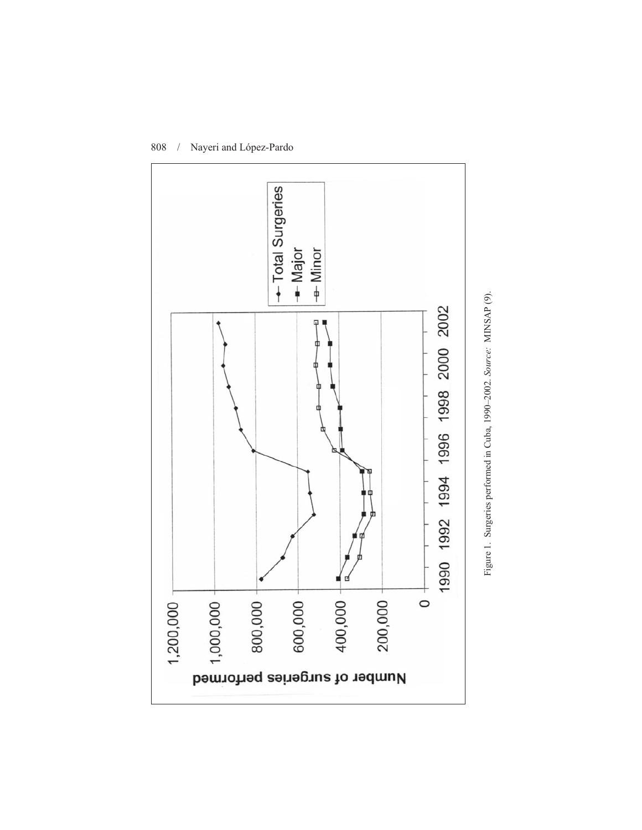

808 / Nayeri and López-Pardo

Figure 1. Surgeries performed in Cuba, 1990-2002. Source: MINSAP (9). Figure 1. Surgeries performed in Cuba, 1990–2002. *Source:* MINSAP (9).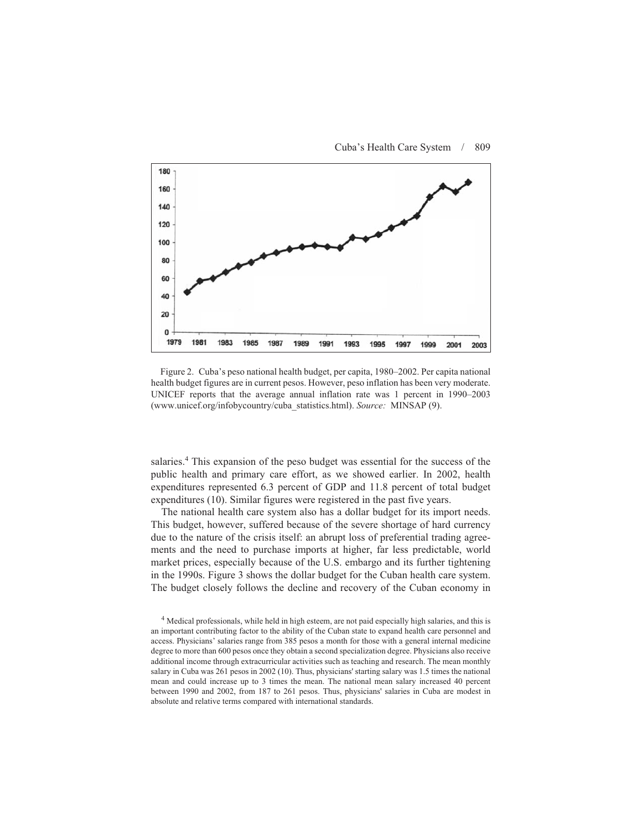

Figure 2. Cuba's peso national health budget, per capita, 1980–2002. Per capita national health budget figures are in current pesos. However, peso inflation has been very moderate. UNICEF reports that the average annual inflation rate was 1 percent in 1990–2003 (www.unicef.org/infobycountry/cuba\_statistics.html). *Source:* MINSAP (9).

salaries.<sup>4</sup> This expansion of the peso budget was essential for the success of the public health and primary care effort, as we showed earlier. In 2002, health expenditures represented 6.3 percent of GDP and 11.8 percent of total budget expenditures (10). Similar figures were registered in the past five years.

The national health care system also has a dollar budget for its import needs. This budget, however, suffered because of the severe shortage of hard currency due to the nature of the crisis itself: an abrupt loss of preferential trading agreements and the need to purchase imports at higher, far less predictable, world market prices, especially because of the U.S. embargo and its further tightening in the 1990s. Figure 3 shows the dollar budget for the Cuban health care system. The budget closely follows the decline and recovery of the Cuban economy in

<sup>4</sup> Medical professionals, while held in high esteem, are not paid especially high salaries, and this is an important contributing factor to the ability of the Cuban state to expand health care personnel and access. Physicians' salaries range from 385 pesos a month for those with a general internal medicine degree to more than 600 pesos once they obtain a second specialization degree. Physicians also receive additional income through extracurricular activities such as teaching and research. The mean monthly salary in Cuba was 261 pesos in 2002 (10). Thus, physicians' starting salary was 1.5 times the national mean and could increase up to 3 times the mean. The national mean salary increased 40 percent between 1990 and 2002, from 187 to 261 pesos. Thus, physicians' salaries in Cuba are modest in absolute and relative terms compared with international standards.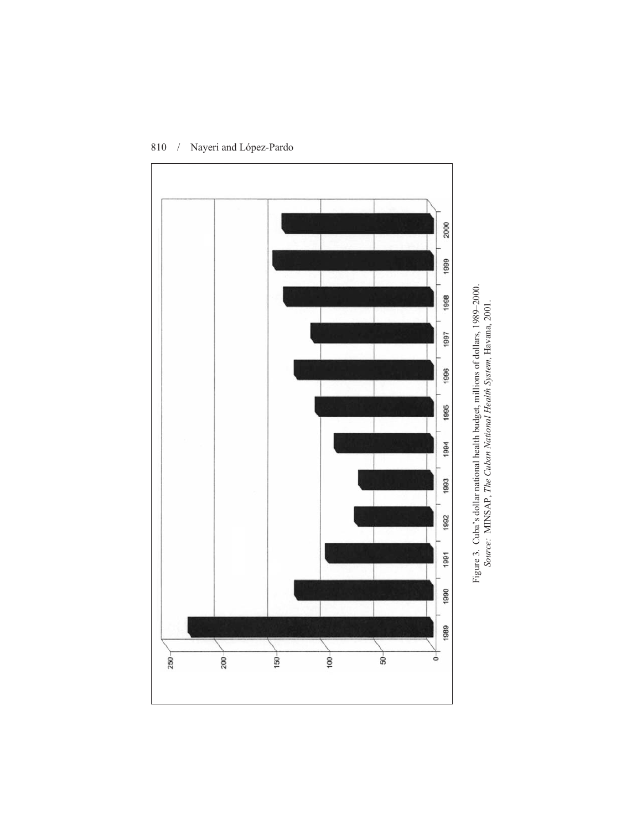

*Source:* MINSAP, *The Cuban National Health System,* Havana, 2001.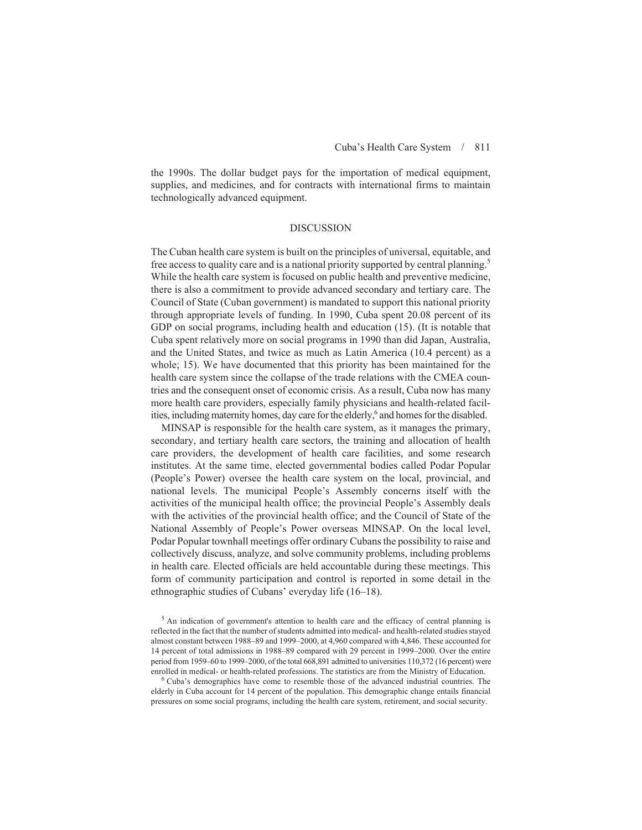the 1990s. The dollar budget pays for the importation of medical equipment, supplies, and medicines, and for contracts with international firms to maintain technologically advanced equipment.

## DISCUSSION

The Cuban health care system is built on the principles of universal, equitable, and free access to quality care and is a national priority supported by central planning.<sup>5</sup> While the health care system is focused on public health and preventive medicine, there is also a commitment to provide advanced secondary and tertiary care. The Council of State (Cuban government) is mandated to support this national priority through appropriate levels of funding. In 1990, Cuba spent 20.08 percent of its GDP on social programs, including health and education (15). (It is notable that Cuba spent relatively more on social programs in 1990 than did Japan, Australia, and the United States, and twice as much as Latin America (10.4 percent) as a whole; 15). We have documented that this priority has been maintained for the health care system since the collapse of the trade relations with the CMEA countries and the consequent onset of economic crisis. As a result, Cuba now has many more health care providers, especially family physicians and health-related facilities, including maternity homes, day care for the elderly, $6$  and homes for the disabled.

MINSAP is responsible for the health care system, as it manages the primary, secondary, and tertiary health care sectors, the training and allocation of health care providers, the development of health care facilities, and some research institutes. At the same time, elected governmental bodies called Podar Popular (People's Power) oversee the health care system on the local, provincial, and national levels. The municipal People's Assembly concerns itself with the activities of the municipal health office; the provincial People's Assembly deals with the activities of the provincial health office; and the Council of State of the National Assembly of People's Power overseas MINSAP. On the local level, Podar Popular townhall meetings offer ordinary Cubans the possibility to raise and collectively discuss, analyze, and solve community problems, including problems in health care. Elected officials are held accountable during these meetings. This form of community participation and control is reported in some detail in the ethnographic studies of Cubans' everyday life (16–18).

<sup>5</sup> An indication of government's attention to health care and the efficacy of central planning is reflected in the fact that the number of students admitted into medical- and health-related studies stayed almost constant between 1988–89 and 1999–2000, at 4,960 compared with 4,846. These accounted for 14 percent of total admissions in 1988–89 compared with 29 percent in 1999–2000. Over the entire period from 1959–60 to 1999–2000, of the total 668,891 admitted to universities 110,372 (16 percent) were enrolled in medical- or health-related professions. The statistics are from the Ministry of Education.

<sup>6</sup> Cuba's demographics have come to resemble those of the advanced industrial countries. The elderly in Cuba account for 14 percent of the population. This demographic change entails financial pressures on some social programs, including the health care system, retirement, and social security.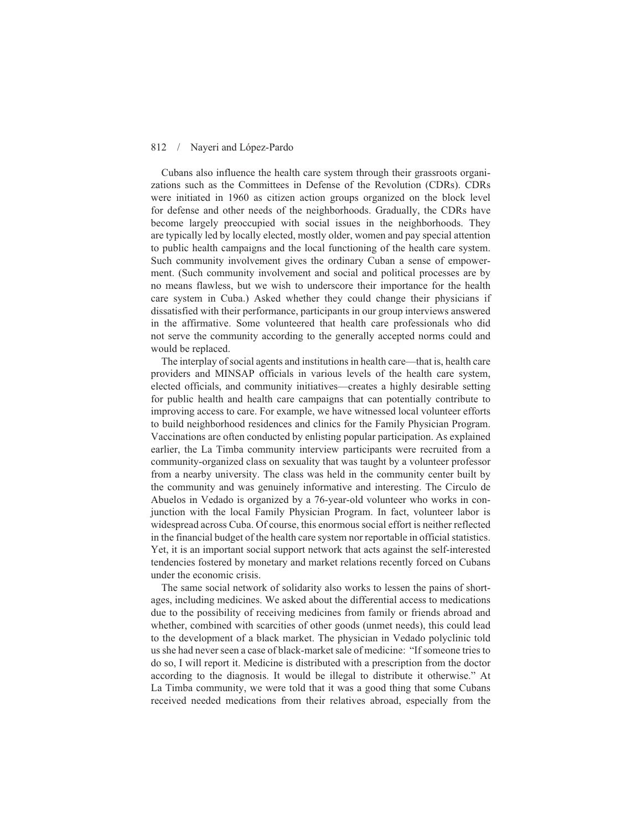Cubans also influence the health care system through their grassroots organizations such as the Committees in Defense of the Revolution (CDRs). CDRs were initiated in 1960 as citizen action groups organized on the block level for defense and other needs of the neighborhoods. Gradually, the CDRs have become largely preoccupied with social issues in the neighborhoods. They are typically led by locally elected, mostly older, women and pay special attention to public health campaigns and the local functioning of the health care system. Such community involvement gives the ordinary Cuban a sense of empowerment. (Such community involvement and social and political processes are by no means flawless, but we wish to underscore their importance for the health care system in Cuba.) Asked whether they could change their physicians if dissatisfied with their performance, participants in our group interviews answered in the affirmative. Some volunteered that health care professionals who did not serve the community according to the generally accepted norms could and would be replaced.

The interplay of social agents and institutions in health care—that is, health care providers and MINSAP officials in various levels of the health care system, elected officials, and community initiatives—creates a highly desirable setting for public health and health care campaigns that can potentially contribute to improving access to care. For example, we have witnessed local volunteer efforts to build neighborhood residences and clinics for the Family Physician Program. Vaccinations are often conducted by enlisting popular participation. As explained earlier, the La Timba community interview participants were recruited from a community-organized class on sexuality that was taught by a volunteer professor from a nearby university. The class was held in the community center built by the community and was genuinely informative and interesting. The Circulo de Abuelos in Vedado is organized by a 76-year-old volunteer who works in conjunction with the local Family Physician Program. In fact, volunteer labor is widespread across Cuba. Of course, this enormous social effort is neither reflected in the financial budget of the health care system nor reportable in official statistics. Yet, it is an important social support network that acts against the self-interested tendencies fostered by monetary and market relations recently forced on Cubans under the economic crisis.

The same social network of solidarity also works to lessen the pains of shortages, including medicines. We asked about the differential access to medications due to the possibility of receiving medicines from family or friends abroad and whether, combined with scarcities of other goods (unmet needs), this could lead to the development of a black market. The physician in Vedado polyclinic told us she had never seen a case of black-market sale of medicine: "If someone tries to do so, I will report it. Medicine is distributed with a prescription from the doctor according to the diagnosis. It would be illegal to distribute it otherwise." At La Timba community, we were told that it was a good thing that some Cubans received needed medications from their relatives abroad, especially from the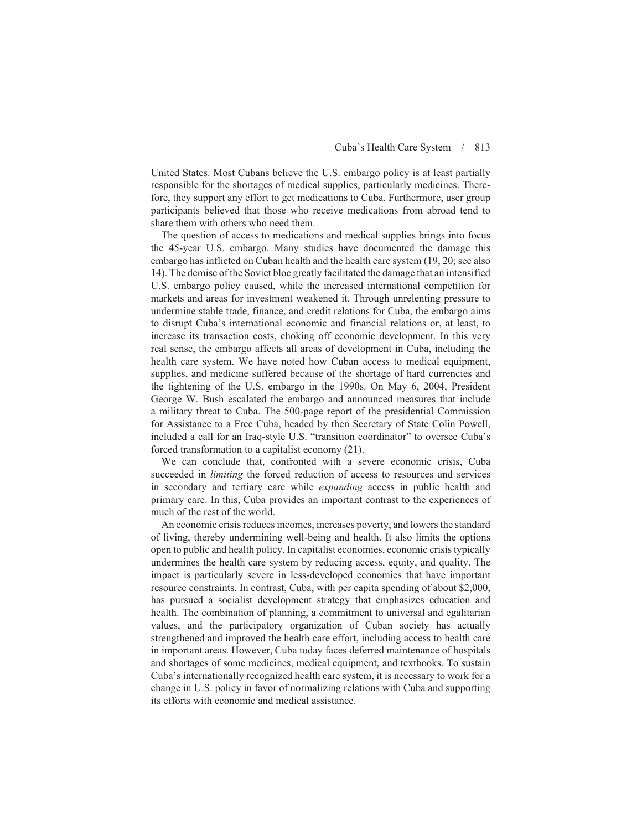United States. Most Cubans believe the U.S. embargo policy is at least partially responsible for the shortages of medical supplies, particularly medicines. Therefore, they support any effort to get medications to Cuba. Furthermore, user group participants believed that those who receive medications from abroad tend to share them with others who need them.

The question of access to medications and medical supplies brings into focus the 45-year U.S. embargo. Many studies have documented the damage this embargo has inflicted on Cuban health and the health care system (19, 20; see also 14). The demise of the Soviet bloc greatly facilitated the damage that an intensified U.S. embargo policy caused, while the increased international competition for markets and areas for investment weakened it. Through unrelenting pressure to undermine stable trade, finance, and credit relations for Cuba, the embargo aims to disrupt Cuba's international economic and financial relations or, at least, to increase its transaction costs, choking off economic development. In this very real sense, the embargo affects all areas of development in Cuba, including the health care system. We have noted how Cuban access to medical equipment, supplies, and medicine suffered because of the shortage of hard currencies and the tightening of the U.S. embargo in the 1990s. On May 6, 2004, President George W. Bush escalated the embargo and announced measures that include a military threat to Cuba. The 500-page report of the presidential Commission for Assistance to a Free Cuba, headed by then Secretary of State Colin Powell, included a call for an Iraq-style U.S. "transition coordinator" to oversee Cuba's forced transformation to a capitalist economy (21).

We can conclude that, confronted with a severe economic crisis, Cuba succeeded in *limiting* the forced reduction of access to resources and services in secondary and tertiary care while *expanding* access in public health and primary care. In this, Cuba provides an important contrast to the experiences of much of the rest of the world.

An economic crisis reduces incomes, increases poverty, and lowers the standard of living, thereby undermining well-being and health. It also limits the options open to public and health policy. In capitalist economies, economic crisis typically undermines the health care system by reducing access, equity, and quality. The impact is particularly severe in less-developed economies that have important resource constraints. In contrast, Cuba, with per capita spending of about \$2,000, has pursued a socialist development strategy that emphasizes education and health. The combination of planning, a commitment to universal and egalitarian values, and the participatory organization of Cuban society has actually strengthened and improved the health care effort, including access to health care in important areas. However, Cuba today faces deferred maintenance of hospitals and shortages of some medicines, medical equipment, and textbooks. To sustain Cuba's internationally recognized health care system, it is necessary to work for a change in U.S. policy in favor of normalizing relations with Cuba and supporting its efforts with economic and medical assistance.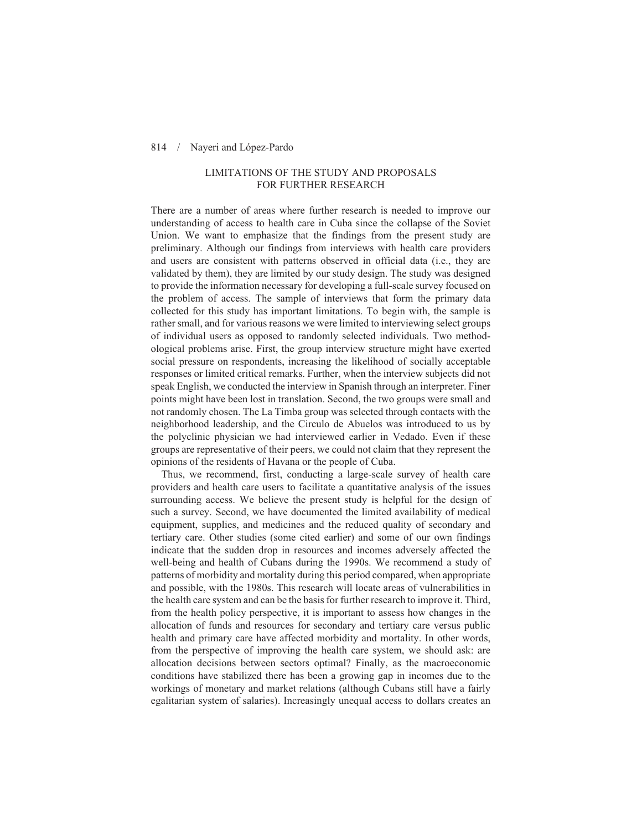## LIMITATIONS OF THE STUDY AND PROPOSALS FOR FURTHER RESEARCH

There are a number of areas where further research is needed to improve our understanding of access to health care in Cuba since the collapse of the Soviet Union. We want to emphasize that the findings from the present study are preliminary. Although our findings from interviews with health care providers and users are consistent with patterns observed in official data (i.e., they are validated by them), they are limited by our study design. The study was designed to provide the information necessary for developing a full-scale survey focused on the problem of access. The sample of interviews that form the primary data collected for this study has important limitations. To begin with, the sample is rather small, and for various reasons we were limited to interviewing select groups of individual users as opposed to randomly selected individuals. Two methodological problems arise. First, the group interview structure might have exerted social pressure on respondents, increasing the likelihood of socially acceptable responses or limited critical remarks. Further, when the interview subjects did not speak English, we conducted the interview in Spanish through an interpreter. Finer points might have been lost in translation. Second, the two groups were small and not randomly chosen. The La Timba group was selected through contacts with the neighborhood leadership, and the Circulo de Abuelos was introduced to us by the polyclinic physician we had interviewed earlier in Vedado. Even if these groups are representative of their peers, we could not claim that they represent the opinions of the residents of Havana or the people of Cuba.

Thus, we recommend, first, conducting a large-scale survey of health care providers and health care users to facilitate a quantitative analysis of the issues surrounding access. We believe the present study is helpful for the design of such a survey. Second, we have documented the limited availability of medical equipment, supplies, and medicines and the reduced quality of secondary and tertiary care. Other studies (some cited earlier) and some of our own findings indicate that the sudden drop in resources and incomes adversely affected the well-being and health of Cubans during the 1990s. We recommend a study of patterns of morbidity and mortality during this period compared, when appropriate and possible, with the 1980s. This research will locate areas of vulnerabilities in the health care system and can be the basis for further research to improve it. Third, from the health policy perspective, it is important to assess how changes in the allocation of funds and resources for secondary and tertiary care versus public health and primary care have affected morbidity and mortality. In other words, from the perspective of improving the health care system, we should ask: are allocation decisions between sectors optimal? Finally, as the macroeconomic conditions have stabilized there has been a growing gap in incomes due to the workings of monetary and market relations (although Cubans still have a fairly egalitarian system of salaries). Increasingly unequal access to dollars creates an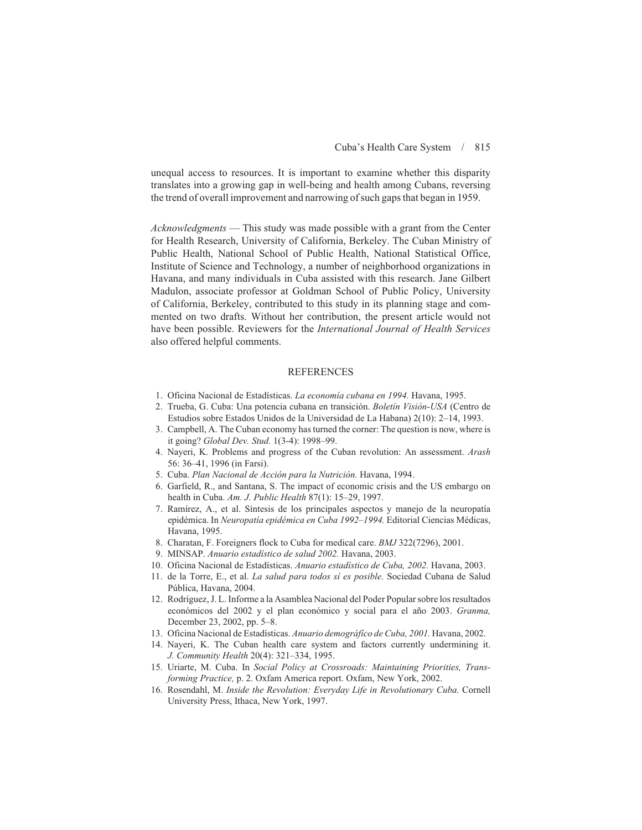unequal access to resources. It is important to examine whether this disparity translates into a growing gap in well-being and health among Cubans, reversing the trend of overall improvement and narrowing of such gaps that began in 1959.

*Acknowledgments* — This study was made possible with a grant from the Center for Health Research, University of California, Berkeley. The Cuban Ministry of Public Health, National School of Public Health, National Statistical Office, Institute of Science and Technology, a number of neighborhood organizations in Havana, and many individuals in Cuba assisted with this research. Jane Gilbert Madulon, associate professor at Goldman School of Public Policy, University of California, Berkeley, contributed to this study in its planning stage and commented on two drafts. Without her contribution, the present article would not have been possible. Reviewers for the *International Journal of Health Services* also offered helpful comments.

#### REFERENCES

- 1. Oficina Nacional de Estadísticas. *La economía cubana en 1994.* Havana, 1995.
- 2. Trueba, G. Cuba: Una potencia cubana en transición. *Boletín Visión-USA* (Centro de Estudios sobre Estados Unidos de la Universidad de La Habana) 2(10): 2–14, 1993.
- 3. Campbell, A. The Cuban economy has turned the corner: The question is now, where is it going? *Global Dev. Stud.* 1(3-4): 1998–99.
- 4. Nayeri, K. Problems and progress of the Cuban revolution: An assessment. *Arash* 56: 36–41, 1996 (in Farsi).
- 5. Cuba. *Plan Nacional de Acción para la Nutrición.* Havana, 1994.
- 6. Garfield, R., and Santana, S. The impact of economic crisis and the US embargo on health in Cuba. *Am. J. Public Health* 87(1): 15–29, 1997.
- 7. Ramírez, A., et al. Síntesis de los principales aspectos y manejo de la neuropatía epidémica. In *Neuropatía epidémica en Cuba 1992–1994.* Editorial Ciencias Médicas, Havana, 1995.
- 8. Charatan, F. Foreigners flock to Cuba for medical care. *BMJ* 322(7296), 2001.
- 9. MINSAP. *Anuario estadístico de salud 2002.* Havana, 2003.
- 10. Oficina Nacional de Estadísticas. *Anuario estadístico de Cuba, 2002.* Havana, 2003.
- 11. de la Torre, E., et al. *La salud para todos sí es posible.* Sociedad Cubana de Salud Pública, Havana, 2004.
- 12. Rodríguez, J. L. Informe a la Asamblea Nacional del Poder Popular sobre los resultados económicos del 2002 y el plan económico y social para el año 2003. *Granma,* December 23, 2002, pp. 5–8.
- 13. Oficina Nacional de Estadísticas. *Anuario demográfíco de Cuba, 2001.* Havana, 2002.
- 14. Nayeri, K. The Cuban health care system and factors currently undermining it. *J. Community Health* 20(4): 321–334, 1995.
- 15. Uriarte, M. Cuba. In *Social Policy at Crossroads: Maintaining Priorities, Transforming Practice,* p. 2. Oxfam America report. Oxfam, New York, 2002.
- 16. Rosendahl, M. *Inside the Revolution: Everyday Life in Revolutionary Cuba.* Cornell University Press, Ithaca, New York, 1997.